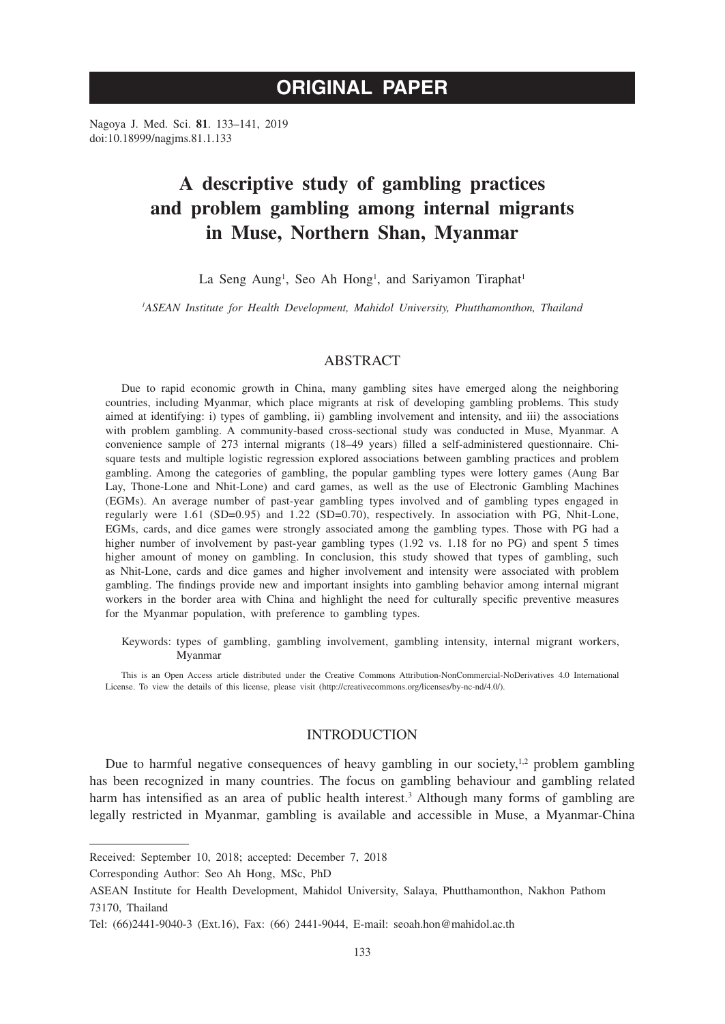# **ORIGINAL PAPER**

Nagoya J. Med. Sci. **81**. 133–141, 2019 doi:10.18999/nagjms.81.1.133

# **A descriptive study of gambling practices and problem gambling among internal migrants in Muse, Northern Shan, Myanmar**

La Seng Aung<sup>1</sup>, Seo Ah Hong<sup>1</sup>, and Sariyamon Tiraphat<sup>1</sup>

*1 ASEAN Institute for Health Development, Mahidol University, Phutthamonthon, Thailand*

# ABSTRACT

Due to rapid economic growth in China, many gambling sites have emerged along the neighboring countries, including Myanmar, which place migrants at risk of developing gambling problems. This study aimed at identifying: i) types of gambling, ii) gambling involvement and intensity, and iii) the associations with problem gambling. A community-based cross-sectional study was conducted in Muse, Myanmar. A convenience sample of 273 internal migrants (18–49 years) filled a self-administered questionnaire. Chisquare tests and multiple logistic regression explored associations between gambling practices and problem gambling. Among the categories of gambling, the popular gambling types were lottery games (Aung Bar Lay, Thone-Lone and Nhit-Lone) and card games, as well as the use of Electronic Gambling Machines (EGMs). An average number of past-year gambling types involved and of gambling types engaged in regularly were 1.61 (SD=0.95) and 1.22 (SD=0.70), respectively. In association with PG, Nhit-Lone, EGMs, cards, and dice games were strongly associated among the gambling types. Those with PG had a higher number of involvement by past-year gambling types (1.92 vs. 1.18 for no PG) and spent 5 times higher amount of money on gambling. In conclusion, this study showed that types of gambling, such as Nhit-Lone, cards and dice games and higher involvement and intensity were associated with problem gambling. The findings provide new and important insights into gambling behavior among internal migrant workers in the border area with China and highlight the need for culturally specific preventive measures for the Myanmar population, with preference to gambling types.

Keywords: types of gambling, gambling involvement, gambling intensity, internal migrant workers, Myanmar

This is an Open Access article distributed under the Creative Commons Attribution-NonCommercial-NoDerivatives 4.0 International License. To view the details of this license, please visit (http://creativecommons.org/licenses/by-nc-nd/4.0/).

## **INTRODUCTION**

Due to harmful negative consequences of heavy gambling in our society, $12$  problem gambling has been recognized in many countries. The focus on gambling behaviour and gambling related harm has intensified as an area of public health interest.<sup>3</sup> Although many forms of gambling are legally restricted in Myanmar, gambling is available and accessible in Muse, a Myanmar-China

Corresponding Author: Seo Ah Hong, MSc, PhD

Received: September 10, 2018; accepted: December 7, 2018

ASEAN Institute for Health Development, Mahidol University, Salaya, Phutthamonthon, Nakhon Pathom 73170, Thailand

Tel: (66)2441-9040-3 (Ext.16), Fax: (66) 2441-9044, E-mail: seoah.hon@mahidol.ac.th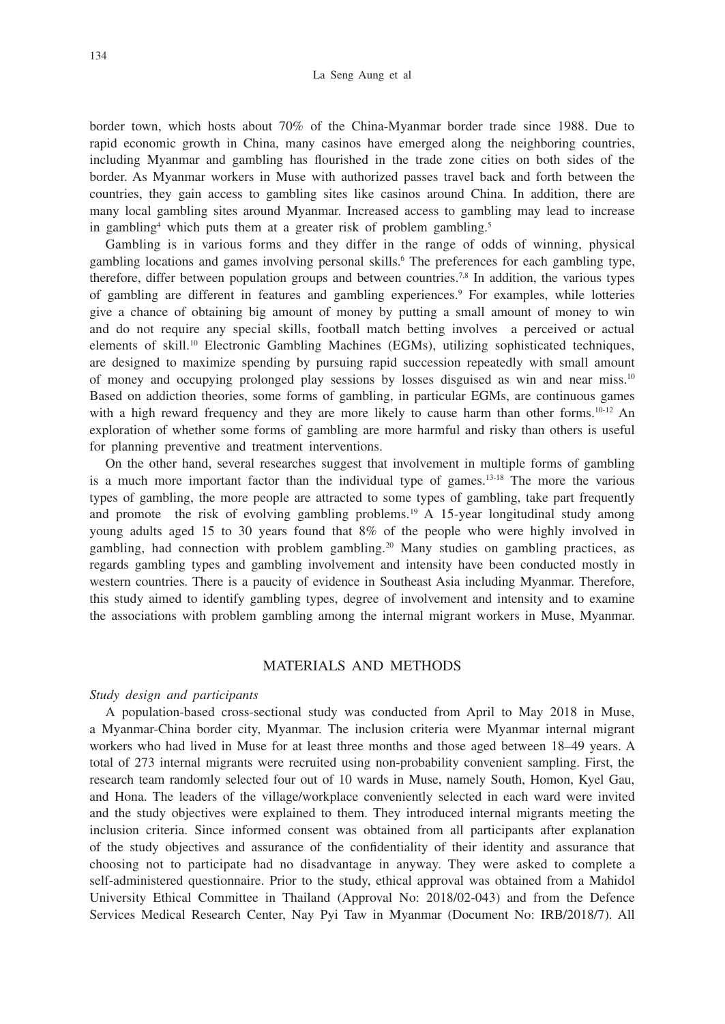border town, which hosts about 70% of the China-Myanmar border trade since 1988. Due to rapid economic growth in China, many casinos have emerged along the neighboring countries, including Myanmar and gambling has flourished in the trade zone cities on both sides of the border. As Myanmar workers in Muse with authorized passes travel back and forth between the countries, they gain access to gambling sites like casinos around China. In addition, there are many local gambling sites around Myanmar. Increased access to gambling may lead to increase in gambling<sup>4</sup> which puts them at a greater risk of problem gambling.<sup>5</sup>

Gambling is in various forms and they differ in the range of odds of winning, physical gambling locations and games involving personal skills.<sup>6</sup> The preferences for each gambling type, therefore, differ between population groups and between countries.<sup>7,8</sup> In addition, the various types of gambling are different in features and gambling experiences.<sup>9</sup> For examples, while lotteries give a chance of obtaining big amount of money by putting a small amount of money to win and do not require any special skills, football match betting involves a perceived or actual elements of skill.<sup>10</sup> Electronic Gambling Machines (EGMs), utilizing sophisticated techniques, are designed to maximize spending by pursuing rapid succession repeatedly with small amount of money and occupying prolonged play sessions by losses disguised as win and near miss.10 Based on addiction theories, some forms of gambling, in particular EGMs, are continuous games with a high reward frequency and they are more likely to cause harm than other forms.<sup>10-12</sup> An exploration of whether some forms of gambling are more harmful and risky than others is useful for planning preventive and treatment interventions.

On the other hand, several researches suggest that involvement in multiple forms of gambling is a much more important factor than the individual type of games.13-18 The more the various types of gambling, the more people are attracted to some types of gambling, take part frequently and promote the risk of evolving gambling problems.<sup>19</sup> A 15-year longitudinal study among young adults aged 15 to 30 years found that 8% of the people who were highly involved in gambling, had connection with problem gambling.20 Many studies on gambling practices, as regards gambling types and gambling involvement and intensity have been conducted mostly in western countries. There is a paucity of evidence in Southeast Asia including Myanmar. Therefore, this study aimed to identify gambling types, degree of involvement and intensity and to examine the associations with problem gambling among the internal migrant workers in Muse, Myanmar.

### MATERIALS AND METHODS

#### *Study design and participants*

A population-based cross-sectional study was conducted from April to May 2018 in Muse, a Myanmar-China border city, Myanmar. The inclusion criteria were Myanmar internal migrant workers who had lived in Muse for at least three months and those aged between 18–49 years. A total of 273 internal migrants were recruited using non-probability convenient sampling. First, the research team randomly selected four out of 10 wards in Muse, namely South, Homon, Kyel Gau, and Hona. The leaders of the village/workplace conveniently selected in each ward were invited and the study objectives were explained to them. They introduced internal migrants meeting the inclusion criteria. Since informed consent was obtained from all participants after explanation of the study objectives and assurance of the confidentiality of their identity and assurance that choosing not to participate had no disadvantage in anyway. They were asked to complete a self-administered questionnaire. Prior to the study, ethical approval was obtained from a Mahidol University Ethical Committee in Thailand (Approval No: 2018/02-043) and from the Defence Services Medical Research Center, Nay Pyi Taw in Myanmar (Document No: IRB/2018/7). All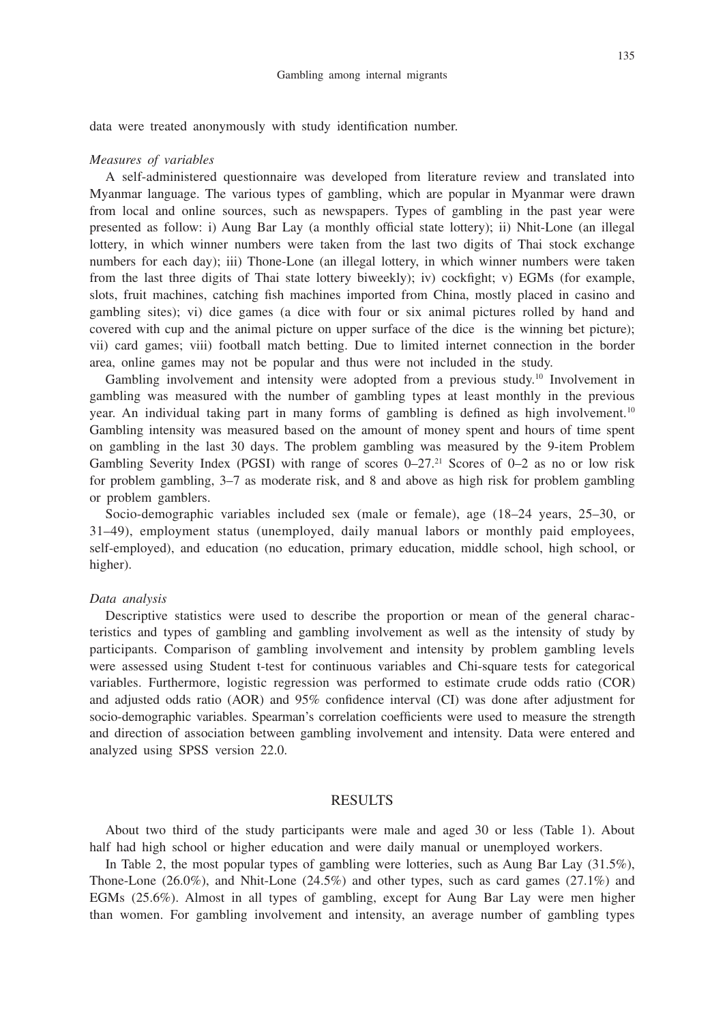data were treated anonymously with study identification number.

#### *Measures of variables*

A self-administered questionnaire was developed from literature review and translated into Myanmar language. The various types of gambling, which are popular in Myanmar were drawn from local and online sources, such as newspapers. Types of gambling in the past year were presented as follow: i) Aung Bar Lay (a monthly official state lottery); ii) Nhit-Lone (an illegal lottery, in which winner numbers were taken from the last two digits of Thai stock exchange numbers for each day); iii) Thone-Lone (an illegal lottery, in which winner numbers were taken from the last three digits of Thai state lottery biweekly); iv) cockfight; v) EGMs (for example, slots, fruit machines, catching fish machines imported from China, mostly placed in casino and gambling sites); vi) dice games (a dice with four or six animal pictures rolled by hand and covered with cup and the animal picture on upper surface of the dice is the winning bet picture); vii) card games; viii) football match betting. Due to limited internet connection in the border area, online games may not be popular and thus were not included in the study.

Gambling involvement and intensity were adopted from a previous study.<sup>10</sup> Involvement in gambling was measured with the number of gambling types at least monthly in the previous year. An individual taking part in many forms of gambling is defined as high involvement.10 Gambling intensity was measured based on the amount of money spent and hours of time spent on gambling in the last 30 days. The problem gambling was measured by the 9-item Problem Gambling Severity Index (PGSI) with range of scores  $0-27<sup>21</sup>$  Scores of  $0-2$  as no or low risk for problem gambling, 3–7 as moderate risk, and 8 and above as high risk for problem gambling or problem gamblers.

Socio-demographic variables included sex (male or female), age (18–24 years, 25–30, or 31–49), employment status (unemployed, daily manual labors or monthly paid employees, self-employed), and education (no education, primary education, middle school, high school, or higher).

## *Data analysis*

Descriptive statistics were used to describe the proportion or mean of the general characteristics and types of gambling and gambling involvement as well as the intensity of study by participants. Comparison of gambling involvement and intensity by problem gambling levels were assessed using Student t-test for continuous variables and Chi-square tests for categorical variables. Furthermore, logistic regression was performed to estimate crude odds ratio (COR) and adjusted odds ratio (AOR) and 95% confidence interval (CI) was done after adjustment for socio-demographic variables. Spearman's correlation coefficients were used to measure the strength and direction of association between gambling involvement and intensity. Data were entered and analyzed using SPSS version 22.0.

## RESULTS

About two third of the study participants were male and aged 30 or less (Table 1). About half had high school or higher education and were daily manual or unemployed workers.

In Table 2, the most popular types of gambling were lotteries, such as Aung Bar Lay (31.5%), Thone-Lone  $(26.0\%)$ , and Nhit-Lone  $(24.5\%)$  and other types, such as card games  $(27.1\%)$  and EGMs (25.6%). Almost in all types of gambling, except for Aung Bar Lay were men higher than women. For gambling involvement and intensity, an average number of gambling types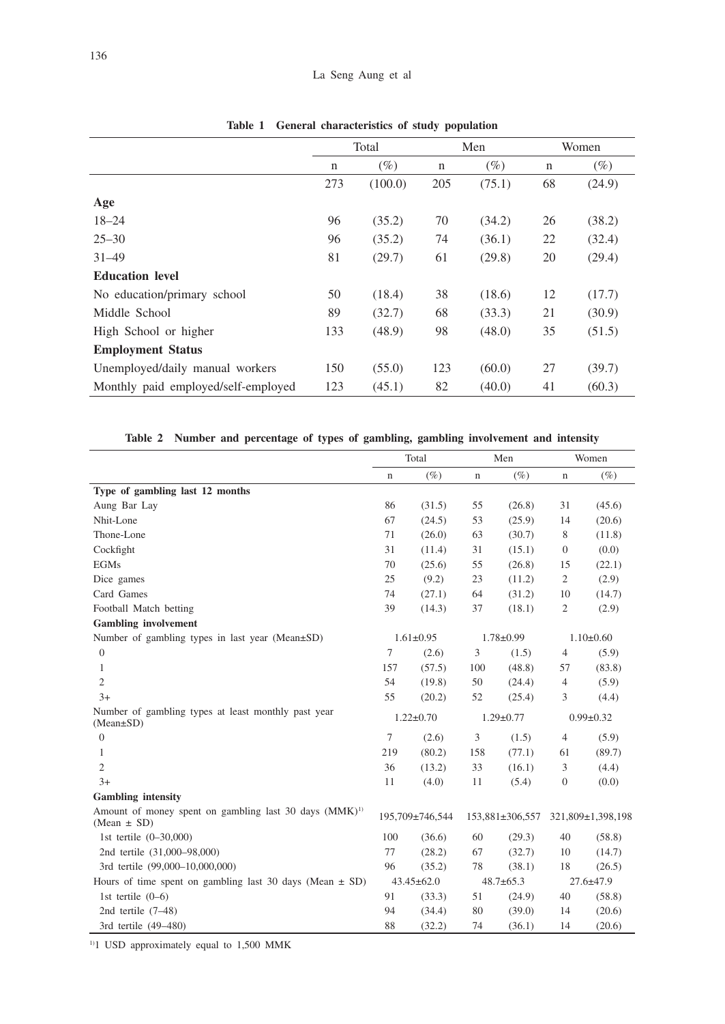|                                     | Total       |         | Men         |        | Women       |        |
|-------------------------------------|-------------|---------|-------------|--------|-------------|--------|
|                                     | $\mathbf n$ | $(\%)$  | $\mathbf n$ | $(\%)$ | $\mathbf n$ | $(\%)$ |
|                                     | 273         | (100.0) | 205         | (75.1) | 68          | (24.9) |
| Age                                 |             |         |             |        |             |        |
| $18 - 24$                           | 96          | (35.2)  | 70          | (34.2) | 26          | (38.2) |
| $25 - 30$                           | 96          | (35.2)  | 74          | (36.1) | 22          | (32.4) |
| $31 - 49$                           | 81          | (29.7)  | 61          | (29.8) | 20          | (29.4) |
| <b>Education level</b>              |             |         |             |        |             |        |
| No education/primary school         | 50          | (18.4)  | 38          | (18.6) | 12          | (17.7) |
| Middle School                       | 89          | (32.7)  | 68          | (33.3) | 21          | (30.9) |
| High School or higher               | 133         | (48.9)  | 98          | (48.0) | 35          | (51.5) |
| <b>Employment Status</b>            |             |         |             |        |             |        |
| Unemployed/daily manual workers     | 150         | (55.0)  | 123         | (60.0) | 27          | (39.7) |
| Monthly paid employed/self-employed | 123         | (45.1)  | 82          | (40.0) | 41          | (60.3) |

**Table 1 General characteristics of study population**

**Table 2 Number and percentage of types of gambling, gambling involvement and intensity**

|                                                                                       | Total            |                 | Men             |                 | Women            |                   |
|---------------------------------------------------------------------------------------|------------------|-----------------|-----------------|-----------------|------------------|-------------------|
|                                                                                       | n                | $(\%)$          | n               | $(\%)$          | $\mathbf n$      | $(\%)$            |
| Type of gambling last 12 months                                                       |                  |                 |                 |                 |                  |                   |
| Aung Bar Lay                                                                          | 86               | (31.5)          | 55              | (26.8)          | 31               | (45.6)            |
| Nhit-Lone                                                                             | 67               | (24.5)          | 53              | (25.9)          | 14               | (20.6)            |
| Thone-Lone                                                                            | 71               | (26.0)          | 63              | (30.7)          | 8                | (11.8)            |
| Cockfight                                                                             | 31               | (11.4)          | 31              | (15.1)          | $\theta$         | (0.0)             |
| <b>EGMs</b>                                                                           | 70               | (25.6)          | 55              | (26.8)          | 15               | (22.1)            |
| Dice games                                                                            | 25               | (9.2)           | 23              | (11.2)          | $\overline{2}$   | (2.9)             |
| Card Games                                                                            | 74               | (27.1)          | 64              | (31.2)          | 10               | (14.7)            |
| Football Match betting                                                                | 39               | (14.3)          | 37              | (18.1)          | $\mathfrak{2}$   | (2.9)             |
| <b>Gambling</b> involvement                                                           |                  |                 |                 |                 |                  |                   |
| Number of gambling types in last year (Mean±SD)                                       |                  | $1.61 \pm 0.95$ |                 | $1.78 \pm 0.99$ |                  | $1.10 \pm 0.60$   |
| $\overline{0}$                                                                        | 7                | (2.6)           | 3               | (1.5)           | $\overline{4}$   | (5.9)             |
| 1                                                                                     | 157              | (57.5)          | 100             | (48.8)          | 57               | (83.8)            |
| $\overline{c}$                                                                        | 54               | (19.8)          | 50              | (24.4)          | $\overline{4}$   | (5.9)             |
| $3+$                                                                                  | 55               | (20.2)          | 52              | (25.4)          | 3                | (4.4)             |
| Number of gambling types at least monthly past year<br>$(Mean \pm SD)$                |                  | $1.22 \pm 0.70$ |                 | $1.29 \pm 0.77$ |                  | $0.99 \pm 0.32$   |
| $\overline{0}$                                                                        | 7                | (2.6)           | 3               | (1.5)           | $\overline{4}$   | (5.9)             |
| 1                                                                                     | 219              | (80.2)          | 158             | (77.1)          | 61               | (89.7)            |
| $\overline{2}$                                                                        | 36               | (13.2)          | 33              | (16.1)          | 3                | (4.4)             |
| $3+$                                                                                  | 11               | (4.0)           | 11              | (5.4)           | $\boldsymbol{0}$ | (0.0)             |
| <b>Gambling</b> intensity                                                             |                  |                 |                 |                 |                  |                   |
| Amount of money spent on gambling last 30 days (MMK) <sup>1)</sup><br>$(Mean \pm SD)$ |                  | 195,709±746,544 |                 | 153,881±306,557 |                  | 321,809±1,398,198 |
| 1st tertile $(0-30,000)$                                                              | 100              | (36.6)          | 60              | (29.3)          | 40               | (58.8)            |
| 2nd tertile (31,000-98,000)                                                           | 77               | (28.2)          | 67              | (32.7)          | 10               | (14.7)            |
| 3rd tertile (99,000-10,000,000)                                                       | 96               | (35.2)          | 78              | (38.1)          | 18               | (26.5)            |
| Hours of time spent on gambling last 30 days (Mean $\pm$ SD)                          | $43.45 \pm 62.0$ |                 | $48.7 \pm 65.3$ |                 | $27.6 \pm 47.9$  |                   |
| 1st tertile $(0-6)$                                                                   | 91               | (33.3)          | 51              | (24.9)          | 40               | (58.8)            |
| 2nd tertile $(7-48)$                                                                  | 94               | (34.4)          | 80              | (39.0)          | 14               | (20.6)            |
| 3rd tertile (49-480)                                                                  | 88               | (32.2)          | 74              | (36.1)          | 14               | (20.6)            |

<sup>1)</sup>1 USD approximately equal to 1,500 MMK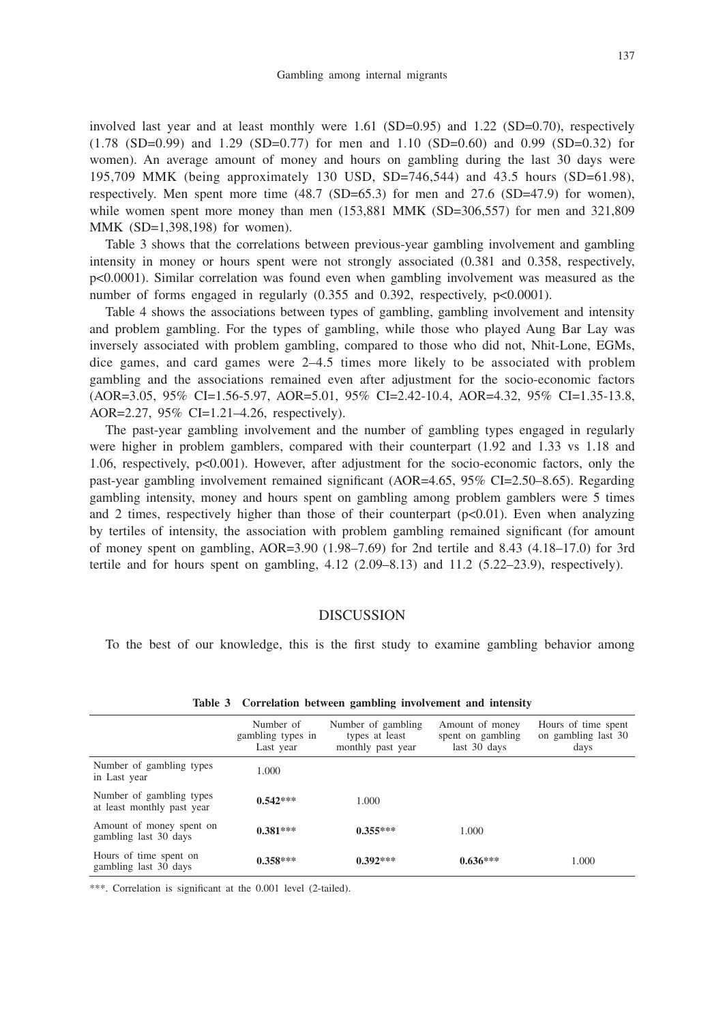involved last year and at least monthly were  $1.61$  (SD=0.95) and  $1.22$  (SD=0.70), respectively (1.78 (SD=0.99) and 1.29 (SD=0.77) for men and 1.10 (SD=0.60) and 0.99 (SD=0.32) for women). An average amount of money and hours on gambling during the last 30 days were 195,709 MMK (being approximately 130 USD, SD=746,544) and 43.5 hours (SD=61.98), respectively. Men spent more time  $(48.7 \text{ (SD=65.3)}$  for men and  $27.6 \text{ (SD=47.9)}$  for women), while women spent more money than men  $(153,881 \text{ MMK (SD=306,557) for men and } 321,809$ MMK (SD=1,398,198) for women).

Table 3 shows that the correlations between previous-year gambling involvement and gambling intensity in money or hours spent were not strongly associated (0.381 and 0.358, respectively, p<0.0001). Similar correlation was found even when gambling involvement was measured as the number of forms engaged in regularly (0.355 and 0.392, respectively, p<0.0001).

Table 4 shows the associations between types of gambling, gambling involvement and intensity and problem gambling. For the types of gambling, while those who played Aung Bar Lay was inversely associated with problem gambling, compared to those who did not, Nhit-Lone, EGMs, dice games, and card games were 2–4.5 times more likely to be associated with problem gambling and the associations remained even after adjustment for the socio-economic factors (AOR=3.05, 95% CI=1.56-5.97, AOR=5.01, 95% CI=2.42-10.4, AOR=4.32, 95% CI=1.35-13.8, AOR=2.27, 95% CI=1.21–4.26, respectively).

The past-year gambling involvement and the number of gambling types engaged in regularly were higher in problem gamblers, compared with their counterpart (1.92 and 1.33 vs 1.18 and 1.06, respectively, p<0.001). However, after adjustment for the socio-economic factors, only the past-year gambling involvement remained significant (AOR=4.65, 95% CI=2.50–8.65). Regarding gambling intensity, money and hours spent on gambling among problem gamblers were 5 times and 2 times, respectively higher than those of their counterpart  $(p<0.01)$ . Even when analyzing by tertiles of intensity, the association with problem gambling remained significant (for amount of money spent on gambling,  $AOR=3.90$  (1.98–7.69) for 2nd tertile and 8.43 (4.18–17.0) for 3rd tertile and for hours spent on gambling,  $4.12$   $(2.09-8.13)$  and  $11.2$   $(5.22-23.9)$ , respectively).

### DISCUSSION

To the best of our knowledge, this is the first study to examine gambling behavior among

|                                                        | Number of<br>gambling types in<br>Last year | Number of gambling<br>types at least<br>monthly past year | Amount of money<br>spent on gambling<br>last 30 days | Hours of time spent<br>on gambling last 30<br>days |
|--------------------------------------------------------|---------------------------------------------|-----------------------------------------------------------|------------------------------------------------------|----------------------------------------------------|
| Number of gambling types<br>in Last year               | 1.000                                       |                                                           |                                                      |                                                    |
| Number of gambling types<br>at least monthly past year | $0.542***$                                  | 1.000                                                     |                                                      |                                                    |
| Amount of money spent on<br>gambling last 30 days      | $0.381***$                                  | $0.355***$                                                | 1.000                                                |                                                    |
| Hours of time spent on<br>gambling last 30 days        | $0.358***$                                  | $0.392***$                                                | $0.636***$                                           | 1.000                                              |

|  | Table 3 Correlation between gambling involvement and intensity |  |  |  |  |  |
|--|----------------------------------------------------------------|--|--|--|--|--|
|--|----------------------------------------------------------------|--|--|--|--|--|

\*\*\*. Correlation is significant at the 0.001 level (2-tailed).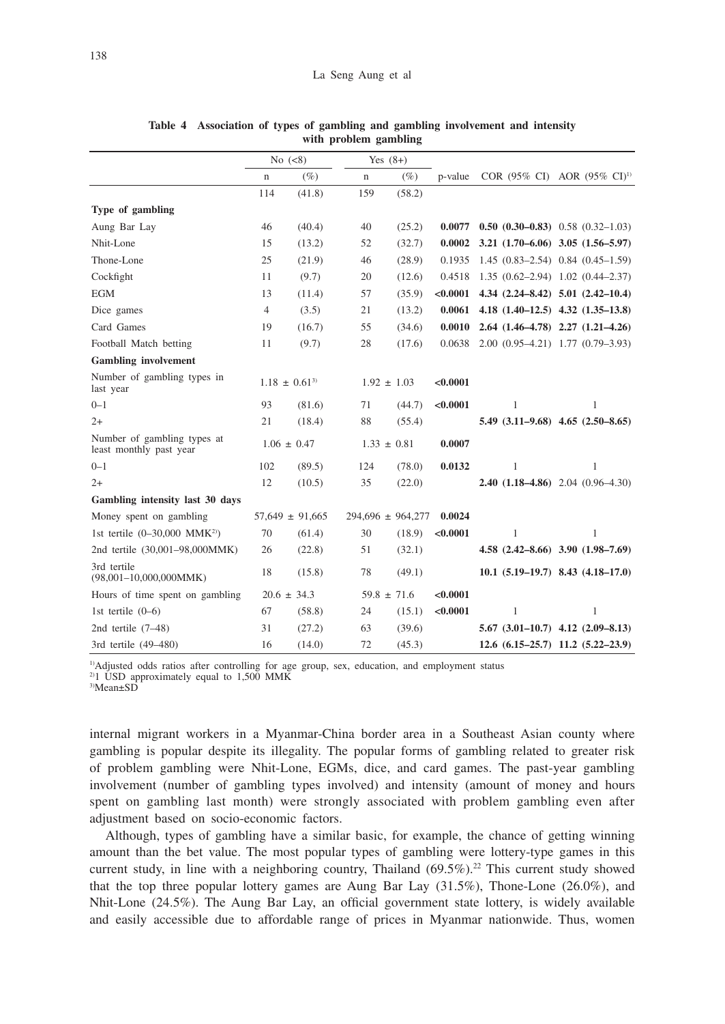|                                                        | No $(<8)$       |                     | Yes $(8+)$      |                       |               |                                      |                                               |
|--------------------------------------------------------|-----------------|---------------------|-----------------|-----------------------|---------------|--------------------------------------|-----------------------------------------------|
|                                                        | $\mathbf n$     | $(\%)$              | $\mathbf n$     | $(\%)$                | p-value       |                                      | COR (95% CI) AOR (95% CI) <sup>1)</sup>       |
|                                                        | 114             | (41.8)              | 159             | (58.2)                |               |                                      |                                               |
| Type of gambling                                       |                 |                     |                 |                       |               |                                      |                                               |
| Aung Bar Lay                                           | 46              | (40.4)              | 40              | (25.2)                | 0.0077        |                                      | 0.50 $(0.30-0.83)$ 0.58 $(0.32-1.03)$         |
| Nhit-Lone                                              | 15              | (13.2)              | 52              | (32.7)                | 0.0002        |                                      | $3.21(1.70-6.06)$ $3.05(1.56-5.97)$           |
| Thone-Lone                                             | 25              | (21.9)              | 46              | (28.9)                | 0.1935        |                                      | $1.45(0.83-2.54)$ 0.84 $(0.45-1.59)$          |
| Cockfight                                              | 11              | (9.7)               | 20              | (12.6)                | 0.4518        | $1.35(0.62-2.94)1.02(0.44-2.37)$     |                                               |
| <b>EGM</b>                                             | 13              | (11.4)              | 57              | (35.9)                | $<\!\!0.0001$ |                                      | $4.34$ $(2.24 - 8.42)$ $5.01$ $(2.42 - 10.4)$ |
| Dice games                                             | $\overline{4}$  | (3.5)               | 21              | (13.2)                | 0.0061        |                                      | 4.18 (1.40-12.5) 4.32 (1.35-13.8)             |
| Card Games                                             | 19              | (16.7)              | 55              | (34.6)                | 0.0010        |                                      | $2.64$ $(1.46-4.78)$ $2.27$ $(1.21-4.26)$     |
| Football Match betting                                 | 11              | (9.7)               | 28              | (17.6)                | 0.0638        | $2.00(0.95-4.21)$ 1.77 $(0.79-3.93)$ |                                               |
| <b>Gambling</b> involvement                            |                 |                     |                 |                       |               |                                      |                                               |
| Number of gambling types in<br>last year               |                 | $1.18 \pm 0.61^{3}$ |                 | $1.92 \pm 1.03$       | < 0.0001      |                                      |                                               |
| $0 - 1$                                                | 93              | (81.6)              | 71              | (44.7)                | < 0.0001      | $\mathbf{1}$                         | 1                                             |
| $2+$                                                   | 21              | (18.4)              | 88              | (55.4)                |               |                                      | $5.49$ $(3.11-9.68)$ $4.65$ $(2.50-8.65)$     |
| Number of gambling types at<br>least monthly past year |                 | $1.06 \pm 0.47$     |                 | $1.33 \pm 0.81$       | 0.0007        |                                      |                                               |
| $0 - 1$                                                | 102             | (89.5)              | 124             | (78.0)                | 0.0132        | 1                                    | 1                                             |
| $2+$                                                   | 12              | (10.5)              | 35              | (22.0)                |               |                                      | <b>2.40 (1.18–4.86)</b> 2.04 (0.96–4.30)      |
| Gambling intensity last 30 days                        |                 |                     |                 |                       |               |                                      |                                               |
| Money spent on gambling                                |                 | $57,649 \pm 91,665$ |                 | $294,696 \pm 964,277$ | 0.0024        |                                      |                                               |
| 1st tertile $(0-30,000 \text{ MMK}^{2})$               | 70              | (61.4)              | 30              | (18.9)                | < 0.0001      | 1                                    | 1                                             |
| 2nd tertile (30,001-98,000MMK)                         | 26              | (22.8)              | 51              | (32.1)                |               |                                      | $4.58$ $(2.42 - 8.66)$ $3.90$ $(1.98 - 7.69)$ |
| 3rd tertile<br>$(98,001-10,000,000MMK)$                | 18              | (15.8)              | 78              | (49.1)                |               |                                      | $10.1$ $(5.19-19.7)$ 8.43 $(4.18-17.0)$       |
| Hours of time spent on gambling                        | $20.6 \pm 34.3$ |                     | $59.8 \pm 71.6$ |                       | < 0.0001      |                                      |                                               |
| 1st tertile $(0-6)$                                    | 67              | (58.8)              | 24              | (15.1)                | < 0.0001      | 1                                    | $\mathbf{1}$                                  |
| 2nd tertile $(7-48)$                                   | 31              | (27.2)              | 63              | (39.6)                |               |                                      | $5.67$ $(3.01-10.7)$ $4.12$ $(2.09-8.13)$     |
| 3rd tertile (49-480)                                   | 16              | (14.0)              | 72              | (45.3)                |               |                                      | $12.6$ $(6.15-25.7)$ $11.2$ $(5.22-23.9)$     |

**Table 4 Association of types of gambling and gambling involvement and intensity with problem gambling**

1)Adjusted odds ratios after controlling for age group, sex, education, and employment status

 $2$ <sup>2)</sup>1 USD approximately equal to 1,500 MMK

3)Mean±SD

internal migrant workers in a Myanmar-China border area in a Southeast Asian county where gambling is popular despite its illegality. The popular forms of gambling related to greater risk of problem gambling were Nhit-Lone, EGMs, dice, and card games. The past-year gambling involvement (number of gambling types involved) and intensity (amount of money and hours spent on gambling last month) were strongly associated with problem gambling even after adjustment based on socio-economic factors.

Although, types of gambling have a similar basic, for example, the chance of getting winning amount than the bet value. The most popular types of gambling were lottery-type games in this current study, in line with a neighboring country, Thailand (69.5%).<sup>22</sup> This current study showed that the top three popular lottery games are Aung Bar Lay (31.5%), Thone-Lone (26.0%), and Nhit-Lone (24.5%). The Aung Bar Lay, an official government state lottery, is widely available and easily accessible due to affordable range of prices in Myanmar nationwide. Thus, women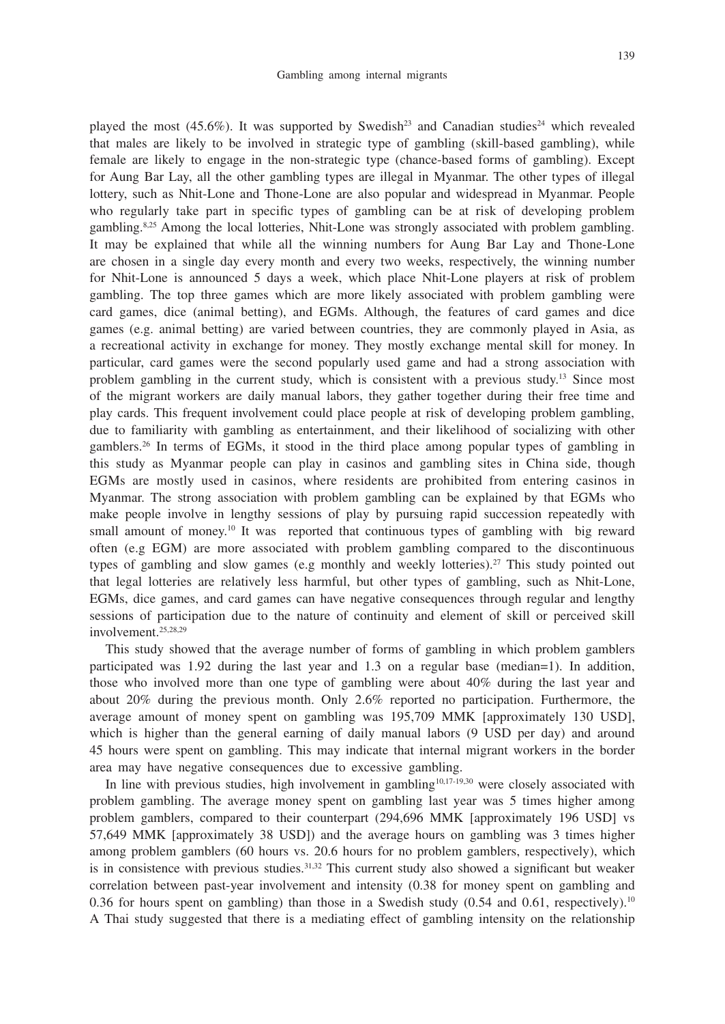played the most  $(45.6\%)$ . It was supported by Swedish<sup>23</sup> and Canadian studies<sup>24</sup> which revealed that males are likely to be involved in strategic type of gambling (skill-based gambling), while female are likely to engage in the non-strategic type (chance-based forms of gambling). Except for Aung Bar Lay, all the other gambling types are illegal in Myanmar. The other types of illegal lottery, such as Nhit-Lone and Thone-Lone are also popular and widespread in Myanmar. People who regularly take part in specific types of gambling can be at risk of developing problem gambling.8,25 Among the local lotteries, Nhit-Lone was strongly associated with problem gambling. It may be explained that while all the winning numbers for Aung Bar Lay and Thone-Lone are chosen in a single day every month and every two weeks, respectively, the winning number for Nhit-Lone is announced 5 days a week, which place Nhit-Lone players at risk of problem gambling. The top three games which are more likely associated with problem gambling were card games, dice (animal betting), and EGMs. Although, the features of card games and dice games (e.g. animal betting) are varied between countries, they are commonly played in Asia, as a recreational activity in exchange for money. They mostly exchange mental skill for money. In particular, card games were the second popularly used game and had a strong association with problem gambling in the current study, which is consistent with a previous study.<sup>13</sup> Since most of the migrant workers are daily manual labors, they gather together during their free time and play cards. This frequent involvement could place people at risk of developing problem gambling, due to familiarity with gambling as entertainment, and their likelihood of socializing with other gamblers.26 In terms of EGMs, it stood in the third place among popular types of gambling in this study as Myanmar people can play in casinos and gambling sites in China side, though EGMs are mostly used in casinos, where residents are prohibited from entering casinos in Myanmar. The strong association with problem gambling can be explained by that EGMs who make people involve in lengthy sessions of play by pursuing rapid succession repeatedly with small amount of money.<sup>10</sup> It was reported that continuous types of gambling with big reward often (e.g EGM) are more associated with problem gambling compared to the discontinuous types of gambling and slow games (e.g monthly and weekly lotteries).<sup>27</sup> This study pointed out that legal lotteries are relatively less harmful, but other types of gambling, such as Nhit-Lone, EGMs, dice games, and card games can have negative consequences through regular and lengthy sessions of participation due to the nature of continuity and element of skill or perceived skill involvement.25,28,29

This study showed that the average number of forms of gambling in which problem gamblers participated was 1.92 during the last year and 1.3 on a regular base (median=1). In addition, those who involved more than one type of gambling were about 40% during the last year and about 20% during the previous month. Only 2.6% reported no participation. Furthermore, the average amount of money spent on gambling was 195,709 MMK [approximately 130 USD], which is higher than the general earning of daily manual labors (9 USD per day) and around 45 hours were spent on gambling. This may indicate that internal migrant workers in the border area may have negative consequences due to excessive gambling.

In line with previous studies, high involvement in gambling<sup>10,17-19,30</sup> were closely associated with problem gambling. The average money spent on gambling last year was 5 times higher among problem gamblers, compared to their counterpart (294,696 MMK [approximately 196 USD] vs 57,649 MMK [approximately 38 USD]) and the average hours on gambling was 3 times higher among problem gamblers (60 hours vs. 20.6 hours for no problem gamblers, respectively), which is in consistence with previous studies.<sup>31,32</sup> This current study also showed a significant but weaker correlation between past-year involvement and intensity (0.38 for money spent on gambling and 0.36 for hours spent on gambling) than those in a Swedish study  $(0.54 \text{ and } 0.61, \text{ respectively})$ .<sup>10</sup> A Thai study suggested that there is a mediating effect of gambling intensity on the relationship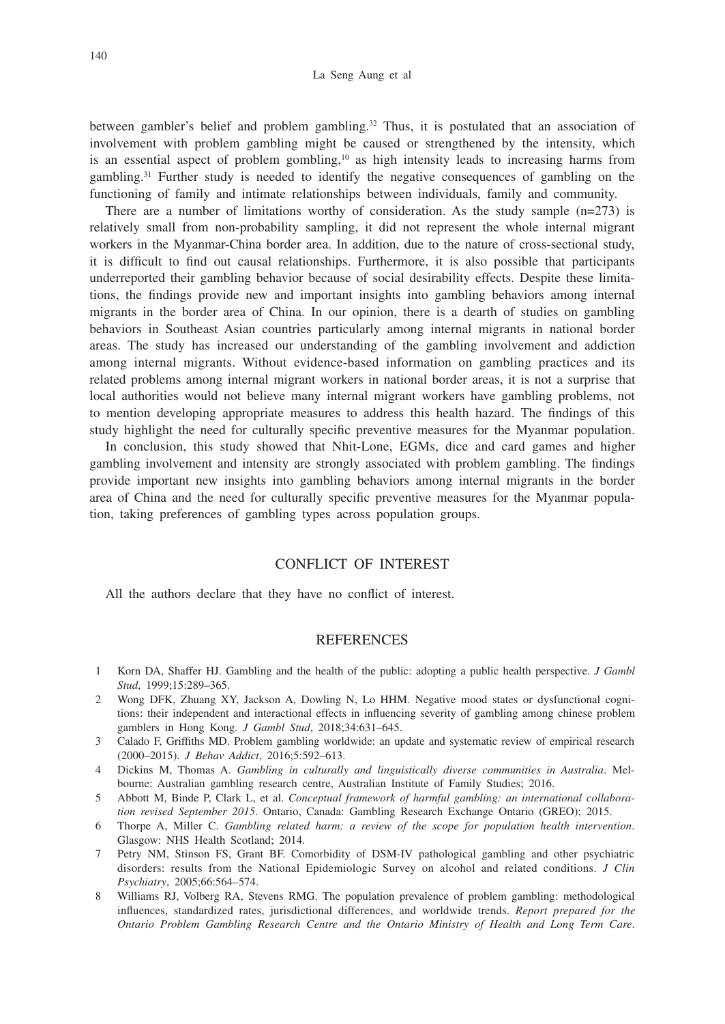between gambler's belief and problem gambling.<sup>32</sup> Thus, it is postulated that an association of involvement with problem gambling might be caused or strengthened by the intensity, which is an essential aspect of problem gombling,<sup>10</sup> as high intensity leads to increasing harms from gambling.31 Further study is needed to identify the negative consequences of gambling on the functioning of family and intimate relationships between individuals, family and community.

There are a number of limitations worthy of consideration. As the study sample  $(n=273)$  is relatively small from non-probability sampling, it did not represent the whole internal migrant workers in the Myanmar-China border area. In addition, due to the nature of cross-sectional study, it is difficult to find out causal relationships. Furthermore, it is also possible that participants underreported their gambling behavior because of social desirability effects. Despite these limitations, the findings provide new and important insights into gambling behaviors among internal migrants in the border area of China. In our opinion, there is a dearth of studies on gambling behaviors in Southeast Asian countries particularly among internal migrants in national border areas. The study has increased our understanding of the gambling involvement and addiction among internal migrants. Without evidence-based information on gambling practices and its related problems among internal migrant workers in national border areas, it is not a surprise that local authorities would not believe many internal migrant workers have gambling problems, not to mention developing appropriate measures to address this health hazard. The findings of this study highlight the need for culturally specific preventive measures for the Myanmar population.

In conclusion, this study showed that Nhit-Lone, EGMs, dice and card games and higher gambling involvement and intensity are strongly associated with problem gambling. The findings provide important new insights into gambling behaviors among internal migrants in the border area of China and the need for culturally specific preventive measures for the Myanmar population, taking preferences of gambling types across population groups.

# CONFLICT OF INTEREST

All the authors declare that they have no conflict of interest.

## **REFERENCES**

- 1 Korn DA, Shaffer HJ. Gambling and the health of the public: adopting a public health perspective. *J Gambl Stud*, 1999;15:289–365.
- 2 Wong DFK, Zhuang XY, Jackson A, Dowling N, Lo HHM. Negative mood states or dysfunctional cognitions: their independent and interactional effects in influencing severity of gambling among chinese problem gamblers in Hong Kong. *J Gambl Stud*, 2018;34:631–645.
- 3 Calado F, Griffiths MD. Problem gambling worldwide: an update and systematic review of empirical research (2000–2015). *J Behav Addict*, 2016;5:592–613.
- 4 Dickins M, Thomas A. *Gambling in culturally and linguistically diverse communities in Australia*. Melbourne: Australian gambling research centre, Australian Institute of Family Studies; 2016.
- 5 Abbott M, Binde P, Clark L, et al. *Conceptual framework of harmful gambling: an international collaboration revised September 2015*. Ontario, Canada: Gambling Research Exchange Ontario (GREO); 2015.
- 6 Thorpe A, Miller C. *Gambling related harm: a review of the scope for population health intervention*. Glasgow: NHS Health Scotland; 2014.
- 7 Petry NM, Stinson FS, Grant BF. Comorbidity of DSM-IV pathological gambling and other psychiatric disorders: results from the National Epidemiologic Survey on alcohol and related conditions. *J Clin Psychiatry*, 2005;66:564–574.
- 8 Williams RJ, Volberg RA, Stevens RMG. The population prevalence of problem gambling: methodological influences, standardized rates, jurisdictional differences, and worldwide trends. *Report prepared for the Ontario Problem Gambling Research Centre and the Ontario Ministry of Health and Long Term Care*.